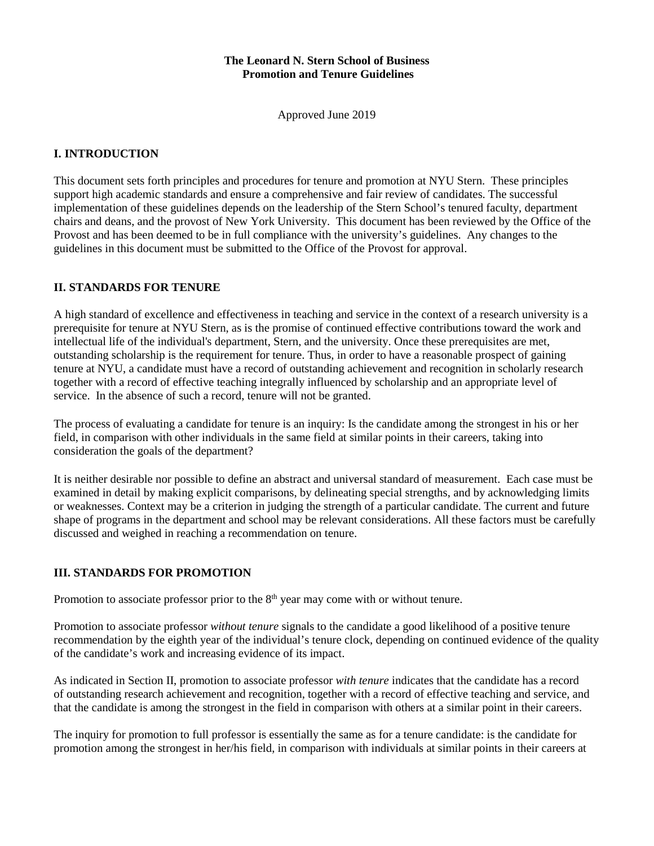## **The Leonard N. Stern School of Business Promotion and Tenure Guidelines**

Approved June 2019

# **I. INTRODUCTION**

This document sets forth principles and procedures for tenure and promotion at NYU Stern. These principles support high academic standards and ensure a comprehensive and fair review of candidates. The successful implementation of these guidelines depends on the leadership of the Stern School's tenured faculty, department chairs and deans, and the provost of New York University. This document has been reviewed by the Office of the Provost and has been deemed to be in full compliance with the university's guidelines. Any changes to the guidelines in this document must be submitted to the Office of the Provost for approval.

# **II. STANDARDS FOR TENURE**

A high standard of excellence and effectiveness in teaching and service in the context of a research university is a prerequisite for tenure at NYU Stern, as is the promise of continued effective contributions toward the work and intellectual life of the individual's department, Stern, and the university. Once these prerequisites are met, outstanding scholarship is the requirement for tenure. Thus, in order to have a reasonable prospect of gaining tenure at NYU, a candidate must have a record of outstanding achievement and recognition in scholarly research together with a record of effective teaching integrally influenced by scholarship and an appropriate level of service. In the absence of such a record, tenure will not be granted.

The process of evaluating a candidate for tenure is an inquiry: Is the candidate among the strongest in his or her field, in comparison with other individuals in the same field at similar points in their careers, taking into consideration the goals of the department?

It is neither desirable nor possible to define an abstract and universal standard of measurement. Each case must be examined in detail by making explicit comparisons, by delineating special strengths, and by acknowledging limits or weaknesses. Context may be a criterion in judging the strength of a particular candidate. The current and future shape of programs in the department and school may be relevant considerations. All these factors must be carefully discussed and weighed in reaching a recommendation on tenure.

# **III. STANDARDS FOR PROMOTION**

Promotion to associate professor prior to the  $8<sup>th</sup>$  year may come with or without tenure.

Promotion to associate professor *without tenure* signals to the candidate a good likelihood of a positive tenure recommendation by the eighth year of the individual's tenure clock, depending on continued evidence of the quality of the candidate's work and increasing evidence of its impact.

As indicated in Section II, promotion to associate professor *with tenure* indicates that the candidate has a record of outstanding research achievement and recognition, together with a record of effective teaching and service, and that the candidate is among the strongest in the field in comparison with others at a similar point in their careers.

The inquiry for promotion to full professor is essentially the same as for a tenure candidate: is the candidate for promotion among the strongest in her/his field, in comparison with individuals at similar points in their careers at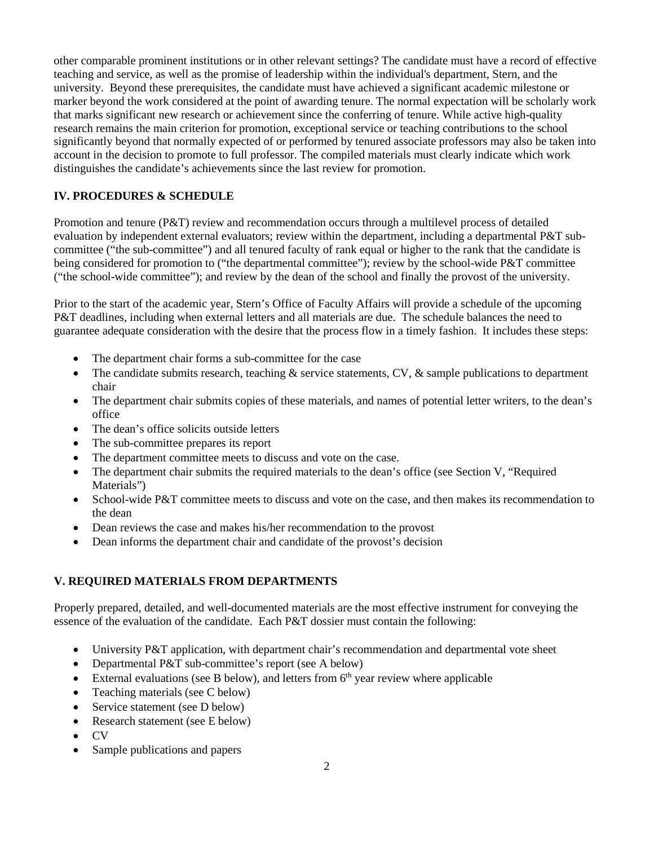other comparable prominent institutions or in other relevant settings? The candidate must have a record of effective teaching and service, as well as the promise of leadership within the individual's department, Stern, and the university. Beyond these prerequisites, the candidate must have achieved a significant academic milestone or marker beyond the work considered at the point of awarding tenure. The normal expectation will be scholarly work that marks significant new research or achievement since the conferring of tenure. While active high-quality research remains the main criterion for promotion, exceptional service or teaching contributions to the school significantly beyond that normally expected of or performed by tenured associate professors may also be taken into account in the decision to promote to full professor. The compiled materials must clearly indicate which work distinguishes the candidate's achievements since the last review for promotion.

# **IV. PROCEDURES & SCHEDULE**

Promotion and tenure (P&T) review and recommendation occurs through a multilevel process of detailed evaluation by independent external evaluators; review within the department, including a departmental P&T subcommittee ("the sub-committee") and all tenured faculty of rank equal or higher to the rank that the candidate is being considered for promotion to ("the departmental committee"); review by the school-wide P&T committee ("the school-wide committee"); and review by the dean of the school and finally the provost of the university.

Prior to the start of the academic year, Stern's Office of Faculty Affairs will provide a schedule of the upcoming P&T deadlines, including when external letters and all materials are due. The schedule balances the need to guarantee adequate consideration with the desire that the process flow in a timely fashion. It includes these steps:

- The department chair forms a sub-committee for the case
- The candidate submits research, teaching  $\&$  service statements, CV,  $\&$  sample publications to department chair
- The department chair submits copies of these materials, and names of potential letter writers, to the dean's office
- The dean's office solicits outside letters
- The sub-committee prepares its report
- The department committee meets to discuss and vote on the case.
- The department chair submits the required materials to the dean's office (see Section V, "Required Materials")
- School-wide P&T committee meets to discuss and vote on the case, and then makes its recommendation to the dean
- Dean reviews the case and makes his/her recommendation to the provost
- Dean informs the department chair and candidate of the provost's decision

# **V. REQUIRED MATERIALS FROM DEPARTMENTS**

Properly prepared, detailed, and well-documented materials are the most effective instrument for conveying the essence of the evaluation of the candidate. Each P&T dossier must contain the following:

- University P&T application, with department chair's recommendation and departmental vote sheet
- Departmental P&T sub-committee's report (see A below)
- External evaluations (see B below), and letters from  $6<sup>th</sup>$  year review where applicable
- Teaching materials (see C below)
- Service statement (see D below)
- Research statement (see E below)
- CV
- Sample publications and papers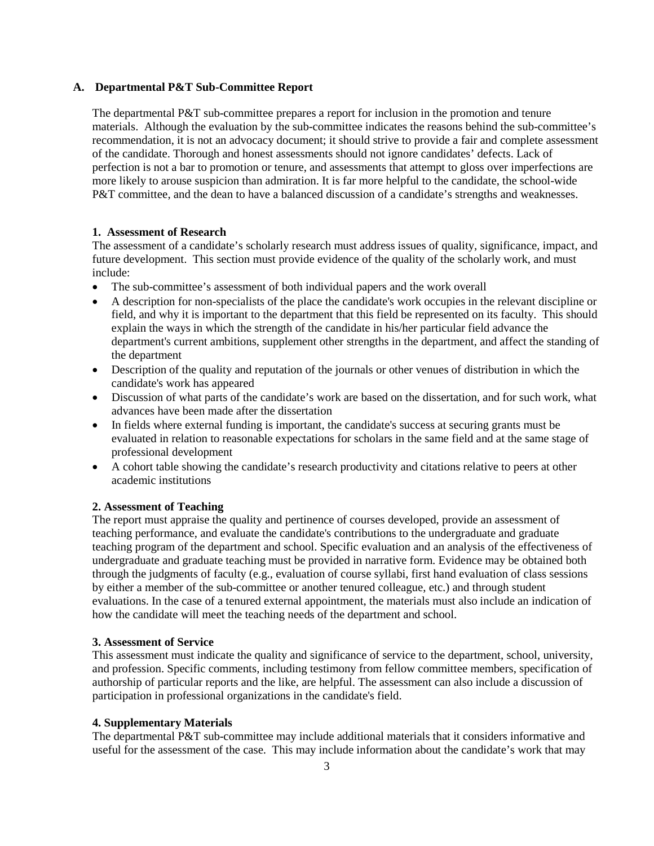### **A. Departmental P&T Sub-Committee Report**

The departmental P&T sub-committee prepares a report for inclusion in the promotion and tenure materials. Although the evaluation by the sub-committee indicates the reasons behind the sub-committee's recommendation, it is not an advocacy document; it should strive to provide a fair and complete assessment of the candidate. Thorough and honest assessments should not ignore candidates' defects. Lack of perfection is not a bar to promotion or tenure, and assessments that attempt to gloss over imperfections are more likely to arouse suspicion than admiration. It is far more helpful to the candidate, the school-wide P&T committee, and the dean to have a balanced discussion of a candidate's strengths and weaknesses.

#### **1. Assessment of Research**

The assessment of a candidate's scholarly research must address issues of quality, significance, impact, and future development. This section must provide evidence of the quality of the scholarly work, and must include:

- The sub-committee's assessment of both individual papers and the work overall
- A description for non-specialists of the place the candidate's work occupies in the relevant discipline or field, and why it is important to the department that this field be represented on its faculty. This should explain the ways in which the strength of the candidate in his/her particular field advance the department's current ambitions, supplement other strengths in the department, and affect the standing of the department
- Description of the quality and reputation of the journals or other venues of distribution in which the candidate's work has appeared
- Discussion of what parts of the candidate's work are based on the dissertation, and for such work, what advances have been made after the dissertation
- In fields where external funding is important, the candidate's success at securing grants must be evaluated in relation to reasonable expectations for scholars in the same field and at the same stage of professional development
- A cohort table showing the candidate's research productivity and citations relative to peers at other academic institutions

#### **2. Assessment of Teaching**

The report must appraise the quality and pertinence of courses developed, provide an assessment of teaching performance, and evaluate the candidate's contributions to the undergraduate and graduate teaching program of the department and school. Specific evaluation and an analysis of the effectiveness of undergraduate and graduate teaching must be provided in narrative form. Evidence may be obtained both through the judgments of faculty (e.g., evaluation of course syllabi, first hand evaluation of class sessions by either a member of the sub-committee or another tenured colleague, etc.) and through student evaluations. In the case of a tenured external appointment, the materials must also include an indication of how the candidate will meet the teaching needs of the department and school.

## **3. Assessment of Service**

This assessment must indicate the quality and significance of service to the department, school, university, and profession. Specific comments, including testimony from fellow committee members, specification of authorship of particular reports and the like, are helpful. The assessment can also include a discussion of participation in professional organizations in the candidate's field.

## **4. Supplementary Materials**

The departmental P&T sub-committee may include additional materials that it considers informative and useful for the assessment of the case. This may include information about the candidate's work that may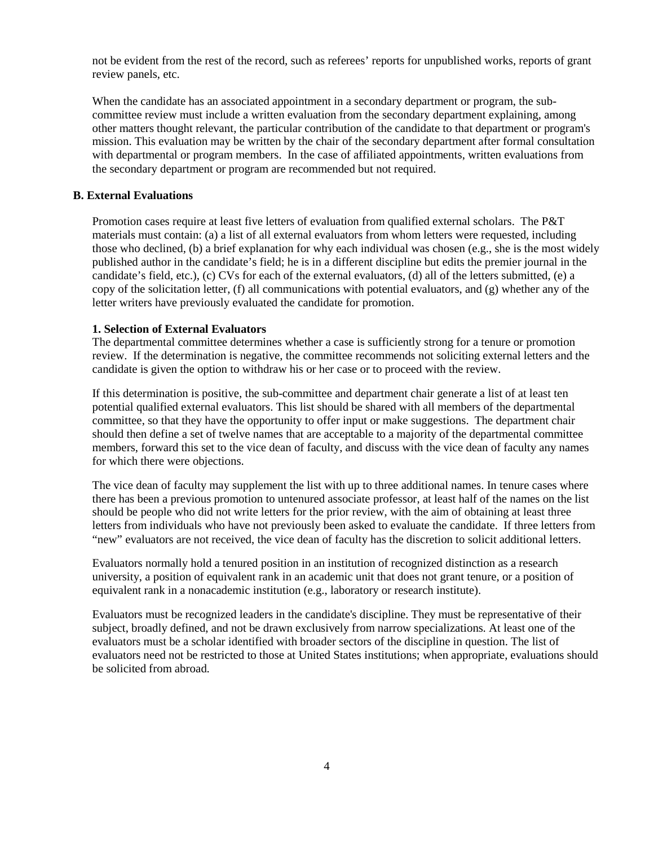not be evident from the rest of the record, such as referees' reports for unpublished works, reports of grant review panels, etc.

When the candidate has an associated appointment in a secondary department or program, the subcommittee review must include a written evaluation from the secondary department explaining, among other matters thought relevant, the particular contribution of the candidate to that department or program's mission. This evaluation may be written by the chair of the secondary department after formal consultation with departmental or program members. In the case of affiliated appointments, written evaluations from the secondary department or program are recommended but not required.

## **B. External Evaluations**

Promotion cases require at least five letters of evaluation from qualified external scholars. The P&T materials must contain: (a) a list of all external evaluators from whom letters were requested, including those who declined, (b) a brief explanation for why each individual was chosen (e.g., she is the most widely published author in the candidate's field; he is in a different discipline but edits the premier journal in the candidate's field, etc.), (c) CVs for each of the external evaluators, (d) all of the letters submitted, (e) a copy of the solicitation letter,  $(f)$  all communications with potential evaluators, and  $(g)$  whether any of the letter writers have previously evaluated the candidate for promotion.

## **1. Selection of External Evaluators**

The departmental committee determines whether a case is sufficiently strong for a tenure or promotion review. If the determination is negative, the committee recommends not soliciting external letters and the candidate is given the option to withdraw his or her case or to proceed with the review.

If this determination is positive, the sub-committee and department chair generate a list of at least ten potential qualified external evaluators. This list should be shared with all members of the departmental committee, so that they have the opportunity to offer input or make suggestions. The department chair should then define a set of twelve names that are acceptable to a majority of the departmental committee members, forward this set to the vice dean of faculty, and discuss with the vice dean of faculty any names for which there were objections.

The vice dean of faculty may supplement the list with up to three additional names. In tenure cases where there has been a previous promotion to untenured associate professor, at least half of the names on the list should be people who did not write letters for the prior review, with the aim of obtaining at least three letters from individuals who have not previously been asked to evaluate the candidate. If three letters from "new" evaluators are not received, the vice dean of faculty has the discretion to solicit additional letters.

Evaluators normally hold a tenured position in an institution of recognized distinction as a research university, a position of equivalent rank in an academic unit that does not grant tenure, or a position of equivalent rank in a nonacademic institution (e.g., laboratory or research institute).

Evaluators must be recognized leaders in the candidate's discipline. They must be representative of their subject, broadly defined, and not be drawn exclusively from narrow specializations. At least one of the evaluators must be a scholar identified with broader sectors of the discipline in question. The list of evaluators need not be restricted to those at United States institutions; when appropriate, evaluations should be solicited from abroad.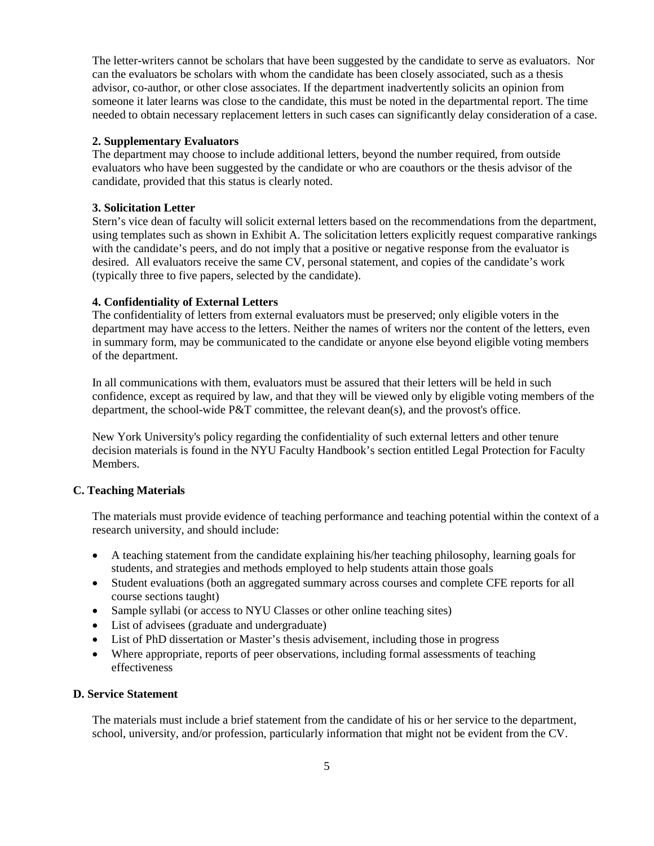The letter-writers cannot be scholars that have been suggested by the candidate to serve as evaluators. Nor can the evaluators be scholars with whom the candidate has been closely associated, such as a thesis advisor, co-author, or other close associates. If the department inadvertently solicits an opinion from someone it later learns was close to the candidate, this must be noted in the departmental report. The time needed to obtain necessary replacement letters in such cases can significantly delay consideration of a case.

## **2. Supplementary Evaluators**

The department may choose to include additional letters, beyond the number required, from outside evaluators who have been suggested by the candidate or who are coauthors or the thesis advisor of the candidate, provided that this status is clearly noted.

#### **3. Solicitation Letter**

Stern's vice dean of faculty will solicit external letters based on the recommendations from the department, using templates such as shown in Exhibit A. The solicitation letters explicitly request comparative rankings with the candidate's peers, and do not imply that a positive or negative response from the evaluator is desired. All evaluators receive the same CV, personal statement, and copies of the candidate's work (typically three to five papers, selected by the candidate).

#### **4. Confidentiality of External Letters**

The confidentiality of letters from external evaluators must be preserved; only eligible voters in the department may have access to the letters. Neither the names of writers nor the content of the letters, even in summary form, may be communicated to the candidate or anyone else beyond eligible voting members of the department.

In all communications with them, evaluators must be assured that their letters will be held in such confidence, except as required by law, and that they will be viewed only by eligible voting members of the department, the school-wide P&T committee, the relevant dean(s), and the provost's office.

New York University's policy regarding the confidentiality of such external letters and other tenure decision materials is found in the NYU Faculty Handbook's section entitled Legal Protection for Faculty Members.

### **C. Teaching Materials**

The materials must provide evidence of teaching performance and teaching potential within the context of a research university, and should include:

- A teaching statement from the candidate explaining his/her teaching philosophy, learning goals for students, and strategies and methods employed to help students attain those goals
- Student evaluations (both an aggregated summary across courses and complete CFE reports for all course sections taught)
- Sample syllabi (or access to NYU Classes or other online teaching sites)
- List of advisees (graduate and undergraduate)
- List of PhD dissertation or Master's thesis advisement, including those in progress
- Where appropriate, reports of peer observations, including formal assessments of teaching effectiveness

## **D. Service Statement**

The materials must include a brief statement from the candidate of his or her service to the department, school, university, and/or profession, particularly information that might not be evident from the CV.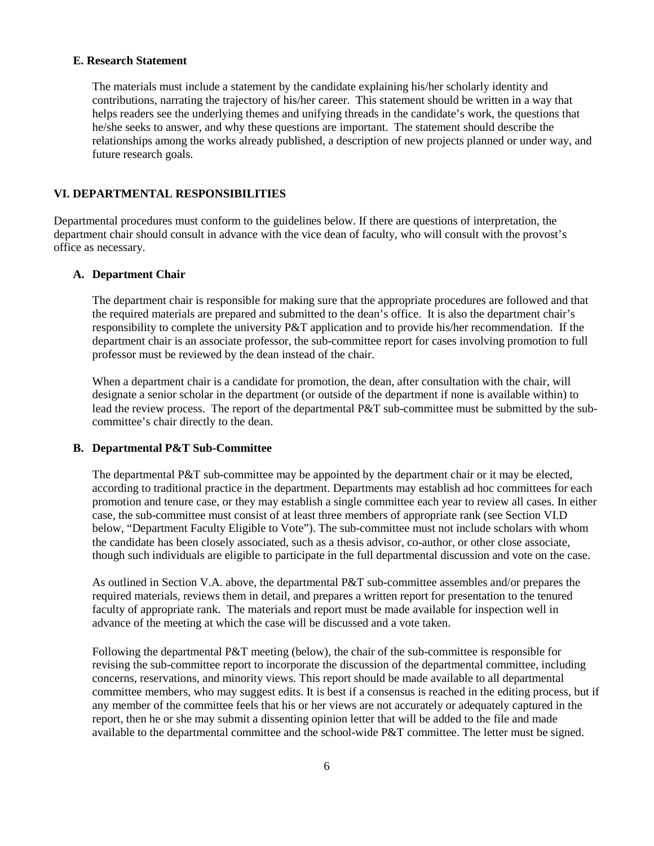## **E. Research Statement**

The materials must include a statement by the candidate explaining his/her scholarly identity and contributions, narrating the trajectory of his/her career. This statement should be written in a way that helps readers see the underlying themes and unifying threads in the candidate's work, the questions that he/she seeks to answer, and why these questions are important. The statement should describe the relationships among the works already published, a description of new projects planned or under way, and future research goals.

## **VI. DEPARTMENTAL RESPONSIBILITIES**

Departmental procedures must conform to the guidelines below. If there are questions of interpretation, the department chair should consult in advance with the vice dean of faculty, who will consult with the provost's office as necessary.

#### **A. Department Chair**

The department chair is responsible for making sure that the appropriate procedures are followed and that the required materials are prepared and submitted to the dean's office. It is also the department chair's responsibility to complete the university P&T application and to provide his/her recommendation. If the department chair is an associate professor, the sub-committee report for cases involving promotion to full professor must be reviewed by the dean instead of the chair.

When a department chair is a candidate for promotion, the dean, after consultation with the chair, will designate a senior scholar in the department (or outside of the department if none is available within) to lead the review process. The report of the departmental P&T sub-committee must be submitted by the subcommittee's chair directly to the dean.

### **B. Departmental P&T Sub-Committee**

The departmental P&T sub-committee may be appointed by the department chair or it may be elected, according to traditional practice in the department. Departments may establish ad hoc committees for each promotion and tenure case, or they may establish a single committee each year to review all cases. In either case, the sub-committee must consist of at least three members of appropriate rank (see Section VI.D below, "Department Faculty Eligible to Vote"). The sub-committee must not include scholars with whom the candidate has been closely associated, such as a thesis advisor, co-author, or other close associate, though such individuals are eligible to participate in the full departmental discussion and vote on the case.

As outlined in Section V.A. above, the departmental P&T sub-committee assembles and/or prepares the required materials, reviews them in detail, and prepares a written report for presentation to the tenured faculty of appropriate rank. The materials and report must be made available for inspection well in advance of the meeting at which the case will be discussed and a vote taken.

Following the departmental P&T meeting (below), the chair of the sub-committee is responsible for revising the sub-committee report to incorporate the discussion of the departmental committee, including concerns, reservations, and minority views. This report should be made available to all departmental committee members, who may suggest edits. It is best if a consensus is reached in the editing process, but if any member of the committee feels that his or her views are not accurately or adequately captured in the report, then he or she may submit a dissenting opinion letter that will be added to the file and made available to the departmental committee and the school-wide P&T committee. The letter must be signed.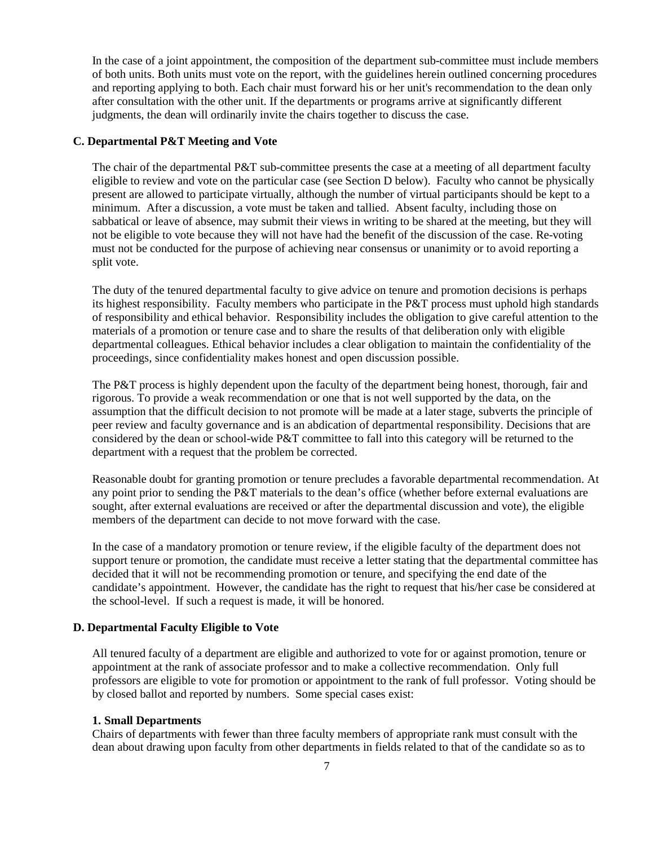In the case of a joint appointment, the composition of the department sub-committee must include members of both units. Both units must vote on the report, with the guidelines herein outlined concerning procedures and reporting applying to both. Each chair must forward his or her unit's recommendation to the dean only after consultation with the other unit. If the departments or programs arrive at significantly different judgments, the dean will ordinarily invite the chairs together to discuss the case.

### **C. Departmental P&T Meeting and Vote**

The chair of the departmental P&T sub-committee presents the case at a meeting of all department faculty eligible to review and vote on the particular case (see Section D below). Faculty who cannot be physically present are allowed to participate virtually, although the number of virtual participants should be kept to a minimum. After a discussion, a vote must be taken and tallied. Absent faculty, including those on sabbatical or leave of absence, may submit their views in writing to be shared at the meeting, but they will not be eligible to vote because they will not have had the benefit of the discussion of the case. Re-voting must not be conducted for the purpose of achieving near consensus or unanimity or to avoid reporting a split vote.

The duty of the tenured departmental faculty to give advice on tenure and promotion decisions is perhaps its highest responsibility. Faculty members who participate in the P&T process must uphold high standards of responsibility and ethical behavior. Responsibility includes the obligation to give careful attention to the materials of a promotion or tenure case and to share the results of that deliberation only with eligible departmental colleagues. Ethical behavior includes a clear obligation to maintain the confidentiality of the proceedings, since confidentiality makes honest and open discussion possible.

The P&T process is highly dependent upon the faculty of the department being honest, thorough, fair and rigorous. To provide a weak recommendation or one that is not well supported by the data, on the assumption that the difficult decision to not promote will be made at a later stage, subverts the principle of peer review and faculty governance and is an abdication of departmental responsibility. Decisions that are considered by the dean or school-wide P&T committee to fall into this category will be returned to the department with a request that the problem be corrected.

Reasonable doubt for granting promotion or tenure precludes a favorable departmental recommendation. At any point prior to sending the P&T materials to the dean's office (whether before external evaluations are sought, after external evaluations are received or after the departmental discussion and vote), the eligible members of the department can decide to not move forward with the case.

In the case of a mandatory promotion or tenure review, if the eligible faculty of the department does not support tenure or promotion, the candidate must receive a letter stating that the departmental committee has decided that it will not be recommending promotion or tenure, and specifying the end date of the candidate's appointment. However, the candidate has the right to request that his/her case be considered at the school-level. If such a request is made, it will be honored.

#### **D. Departmental Faculty Eligible to Vote**

All tenured faculty of a department are eligible and authorized to vote for or against promotion, tenure or appointment at the rank of associate professor and to make a collective recommendation. Only full professors are eligible to vote for promotion or appointment to the rank of full professor. Voting should be by closed ballot and reported by numbers. Some special cases exist:

#### **1. Small Departments**

Chairs of departments with fewer than three faculty members of appropriate rank must consult with the dean about drawing upon faculty from other departments in fields related to that of the candidate so as to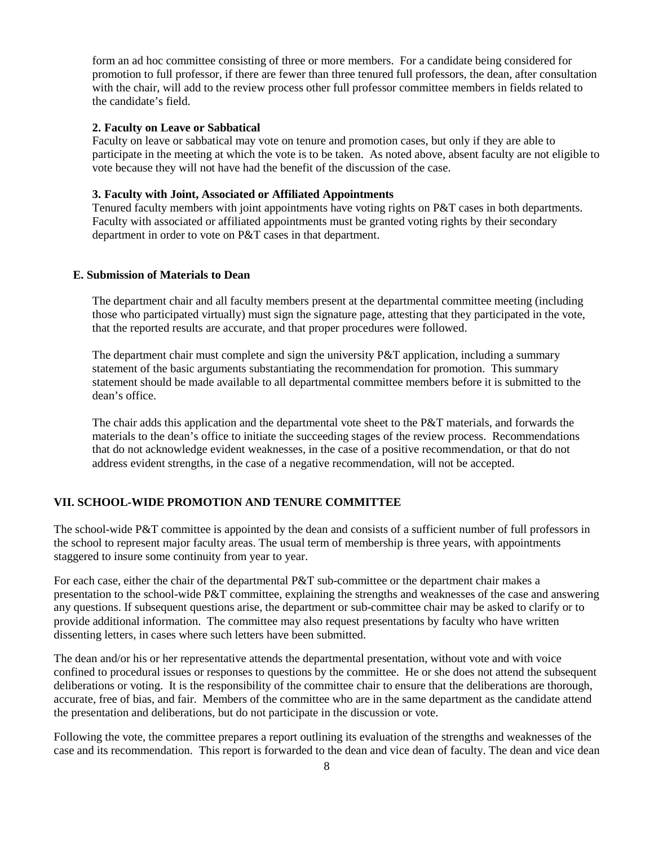form an ad hoc committee consisting of three or more members. For a candidate being considered for promotion to full professor, if there are fewer than three tenured full professors, the dean, after consultation with the chair, will add to the review process other full professor committee members in fields related to the candidate's field.

### **2. Faculty on Leave or Sabbatical**

Faculty on leave or sabbatical may vote on tenure and promotion cases, but only if they are able to participate in the meeting at which the vote is to be taken. As noted above, absent faculty are not eligible to vote because they will not have had the benefit of the discussion of the case.

## **3. Faculty with Joint, Associated or Affiliated Appointments**

Tenured faculty members with joint appointments have voting rights on P&T cases in both departments. Faculty with associated or affiliated appointments must be granted voting rights by their secondary department in order to vote on P&T cases in that department.

# **E. Submission of Materials to Dean**

The department chair and all faculty members present at the departmental committee meeting (including those who participated virtually) must sign the signature page, attesting that they participated in the vote, that the reported results are accurate, and that proper procedures were followed.

The department chair must complete and sign the university P&T application, including a summary statement of the basic arguments substantiating the recommendation for promotion. This summary statement should be made available to all departmental committee members before it is submitted to the dean's office.

The chair adds this application and the departmental vote sheet to the P&T materials, and forwards the materials to the dean's office to initiate the succeeding stages of the review process. Recommendations that do not acknowledge evident weaknesses, in the case of a positive recommendation, or that do not address evident strengths, in the case of a negative recommendation, will not be accepted.

## **VII. SCHOOL-WIDE PROMOTION AND TENURE COMMITTEE**

The school-wide P&T committee is appointed by the dean and consists of a sufficient number of full professors in the school to represent major faculty areas. The usual term of membership is three years, with appointments staggered to insure some continuity from year to year.

For each case, either the chair of the departmental P&T sub-committee or the department chair makes a presentation to the school-wide P&T committee, explaining the strengths and weaknesses of the case and answering any questions. If subsequent questions arise, the department or sub-committee chair may be asked to clarify or to provide additional information. The committee may also request presentations by faculty who have written dissenting letters, in cases where such letters have been submitted.

The dean and/or his or her representative attends the departmental presentation, without vote and with voice confined to procedural issues or responses to questions by the committee. He or she does not attend the subsequent deliberations or voting. It is the responsibility of the committee chair to ensure that the deliberations are thorough, accurate, free of bias, and fair. Members of the committee who are in the same department as the candidate attend the presentation and deliberations, but do not participate in the discussion or vote.

Following the vote, the committee prepares a report outlining its evaluation of the strengths and weaknesses of the case and its recommendation. This report is forwarded to the dean and vice dean of faculty. The dean and vice dean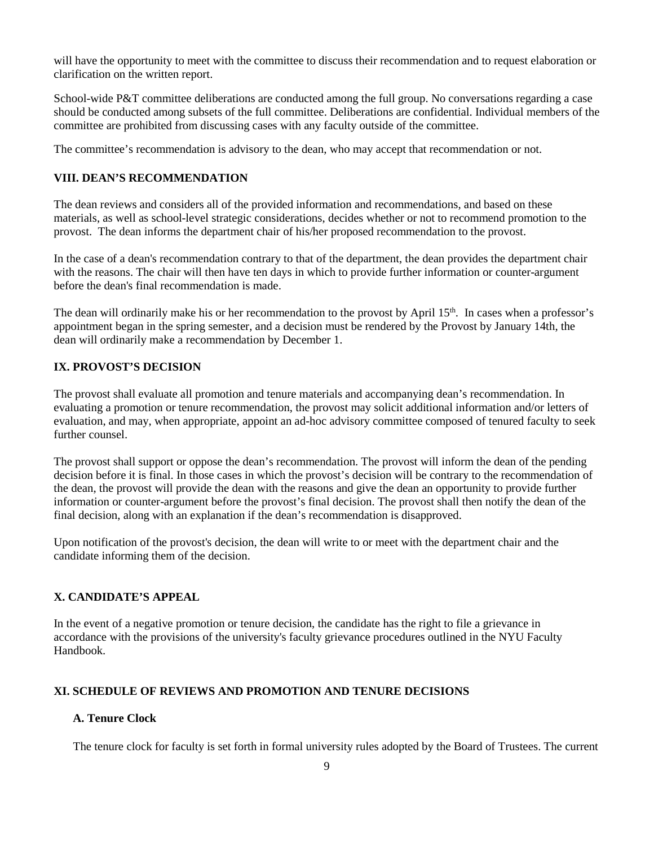will have the opportunity to meet with the committee to discuss their recommendation and to request elaboration or clarification on the written report.

School-wide P&T committee deliberations are conducted among the full group. No conversations regarding a case should be conducted among subsets of the full committee. Deliberations are confidential. Individual members of the committee are prohibited from discussing cases with any faculty outside of the committee.

The committee's recommendation is advisory to the dean, who may accept that recommendation or not.

## **VIII. DEAN'S RECOMMENDATION**

The dean reviews and considers all of the provided information and recommendations, and based on these materials, as well as school-level strategic considerations, decides whether or not to recommend promotion to the provost. The dean informs the department chair of his/her proposed recommendation to the provost.

In the case of a dean's recommendation contrary to that of the department, the dean provides the department chair with the reasons. The chair will then have ten days in which to provide further information or counter-argument before the dean's final recommendation is made.

The dean will ordinarily make his or her recommendation to the provost by April 15<sup>th</sup>. In cases when a professor's appointment began in the spring semester, and a decision must be rendered by the Provost by January 14th, the dean will ordinarily make a recommendation by December 1.

# **IX. PROVOST'S DECISION**

The provost shall evaluate all promotion and tenure materials and accompanying dean's recommendation. In evaluating a promotion or tenure recommendation, the provost may solicit additional information and/or letters of evaluation, and may, when appropriate, appoint an ad-hoc advisory committee composed of tenured faculty to seek further counsel.

The provost shall support or oppose the dean's recommendation. The provost will inform the dean of the pending decision before it is final. In those cases in which the provost's decision will be contrary to the recommendation of the dean, the provost will provide the dean with the reasons and give the dean an opportunity to provide further information or counter-argument before the provost's final decision. The provost shall then notify the dean of the final decision, along with an explanation if the dean's recommendation is disapproved.

Upon notification of the provost's decision, the dean will write to or meet with the department chair and the candidate informing them of the decision.

## **X. CANDIDATE'S APPEAL**

In the event of a negative promotion or tenure decision, the candidate has the right to file a grievance in accordance with the provisions of the university's faculty grievance procedures outlined in the NYU Faculty Handbook.

## **XI. SCHEDULE OF REVIEWS AND PROMOTION AND TENURE DECISIONS**

# **A. Tenure Clock**

The tenure clock for faculty is set forth in formal university rules adopted by the Board of Trustees. The current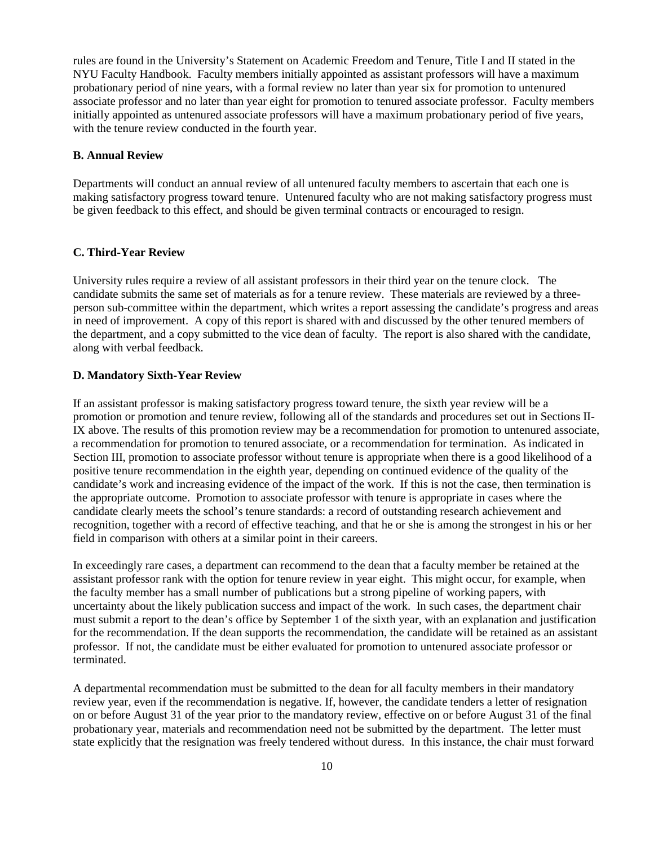rules are found in the University's Statement on Academic Freedom and Tenure, Title I and II stated in the NYU Faculty Handbook. Faculty members initially appointed as assistant professors will have a maximum probationary period of nine years, with a formal review no later than year six for promotion to untenured associate professor and no later than year eight for promotion to tenured associate professor. Faculty members initially appointed as untenured associate professors will have a maximum probationary period of five years, with the tenure review conducted in the fourth year.

#### **B. Annual Review**

Departments will conduct an annual review of all untenured faculty members to ascertain that each one is making satisfactory progress toward tenure. Untenured faculty who are not making satisfactory progress must be given feedback to this effect, and should be given terminal contracts or encouraged to resign.

## **C. Third-Year Review**

University rules require a review of all assistant professors in their third year on the tenure clock. The candidate submits the same set of materials as for a tenure review. These materials are reviewed by a threeperson sub-committee within the department, which writes a report assessing the candidate's progress and areas in need of improvement. A copy of this report is shared with and discussed by the other tenured members of the department, and a copy submitted to the vice dean of faculty. The report is also shared with the candidate, along with verbal feedback.

### **D. Mandatory Sixth-Year Review**

If an assistant professor is making satisfactory progress toward tenure, the sixth year review will be a promotion or promotion and tenure review, following all of the standards and procedures set out in Sections II-IX above. The results of this promotion review may be a recommendation for promotion to untenured associate, a recommendation for promotion to tenured associate, or a recommendation for termination. As indicated in Section III, promotion to associate professor without tenure is appropriate when there is a good likelihood of a positive tenure recommendation in the eighth year, depending on continued evidence of the quality of the candidate's work and increasing evidence of the impact of the work. If this is not the case, then termination is the appropriate outcome. Promotion to associate professor with tenure is appropriate in cases where the candidate clearly meets the school's tenure standards: a record of outstanding research achievement and recognition, together with a record of effective teaching, and that he or she is among the strongest in his or her field in comparison with others at a similar point in their careers.

In exceedingly rare cases, a department can recommend to the dean that a faculty member be retained at the assistant professor rank with the option for tenure review in year eight. This might occur, for example, when the faculty member has a small number of publications but a strong pipeline of working papers, with uncertainty about the likely publication success and impact of the work. In such cases, the department chair must submit a report to the dean's office by September 1 of the sixth year, with an explanation and justification for the recommendation. If the dean supports the recommendation, the candidate will be retained as an assistant professor. If not, the candidate must be either evaluated for promotion to untenured associate professor or terminated.

A departmental recommendation must be submitted to the dean for all faculty members in their mandatory review year, even if the recommendation is negative. If, however, the candidate tenders a letter of resignation on or before August 31 of the year prior to the mandatory review, effective on or before August 31 of the final probationary year, materials and recommendation need not be submitted by the department. The letter must state explicitly that the resignation was freely tendered without duress. In this instance, the chair must forward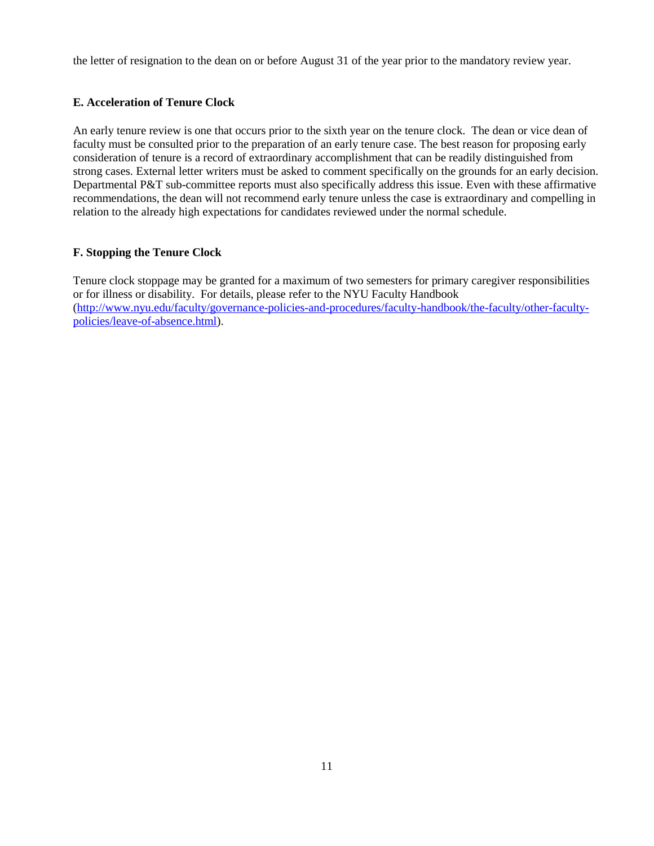the letter of resignation to the dean on or before August 31 of the year prior to the mandatory review year.

# **E. Acceleration of Tenure Clock**

An early tenure review is one that occurs prior to the sixth year on the tenure clock. The dean or vice dean of faculty must be consulted prior to the preparation of an early tenure case. The best reason for proposing early consideration of tenure is a record of extraordinary accomplishment that can be readily distinguished from strong cases. External letter writers must be asked to comment specifically on the grounds for an early decision. Departmental P&T sub-committee reports must also specifically address this issue. Even with these affirmative recommendations, the dean will not recommend early tenure unless the case is extraordinary and compelling in relation to the already high expectations for candidates reviewed under the normal schedule.

# **F. Stopping the Tenure Clock**

Tenure clock stoppage may be granted for a maximum of two semesters for primary caregiver responsibilities or for illness or disability. For details, please refer to the NYU Faculty Handbook [\(http://www.nyu.edu/faculty/governance-policies-and-procedures/faculty-handbook/the-faculty/other-faculty](http://www.nyu.edu/faculty/governance-policies-and-procedures/faculty-handbook/the-faculty/other-faculty-policies/leave-of-absence.html)[policies/leave-of-absence.html\)](http://www.nyu.edu/faculty/governance-policies-and-procedures/faculty-handbook/the-faculty/other-faculty-policies/leave-of-absence.html).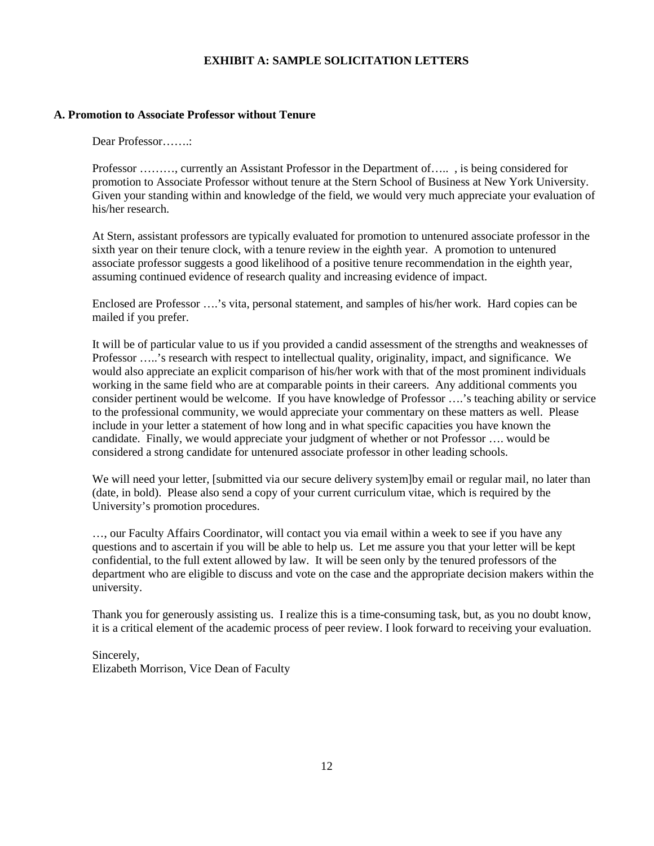## **EXHIBIT A: SAMPLE SOLICITATION LETTERS**

## **A. Promotion to Associate Professor without Tenure**

Dear Professor…….:

Professor ………, currently an Assistant Professor in the Department of….. , is being considered for promotion to Associate Professor without tenure at the Stern School of Business at New York University. Given your standing within and knowledge of the field, we would very much appreciate your evaluation of his/her research.

At Stern, assistant professors are typically evaluated for promotion to untenured associate professor in the sixth year on their tenure clock, with a tenure review in the eighth year. A promotion to untenured associate professor suggests a good likelihood of a positive tenure recommendation in the eighth year, assuming continued evidence of research quality and increasing evidence of impact.

Enclosed are Professor ….'s vita, personal statement, and samples of his/her work. Hard copies can be mailed if you prefer.

It will be of particular value to us if you provided a candid assessment of the strengths and weaknesses of Professor …..'s research with respect to intellectual quality, originality, impact, and significance. We would also appreciate an explicit comparison of his/her work with that of the most prominent individuals working in the same field who are at comparable points in their careers. Any additional comments you consider pertinent would be welcome. If you have knowledge of Professor ….'s teaching ability or service to the professional community, we would appreciate your commentary on these matters as well. Please include in your letter a statement of how long and in what specific capacities you have known the candidate. Finally, we would appreciate your judgment of whether or not Professor …. would be considered a strong candidate for untenured associate professor in other leading schools.

We will need your letter, [submitted via our secure delivery system]by email or regular mail, no later than (date, in bold). Please also send a copy of your current curriculum vitae, which is required by the University's promotion procedures.

…, our Faculty Affairs Coordinator, will contact you via email within a week to see if you have any questions and to ascertain if you will be able to help us. Let me assure you that your letter will be kept confidential, to the full extent allowed by law. It will be seen only by the tenured professors of the department who are eligible to discuss and vote on the case and the appropriate decision makers within the university.

Thank you for generously assisting us. I realize this is a time-consuming task, but, as you no doubt know, it is a critical element of the academic process of peer review. I look forward to receiving your evaluation.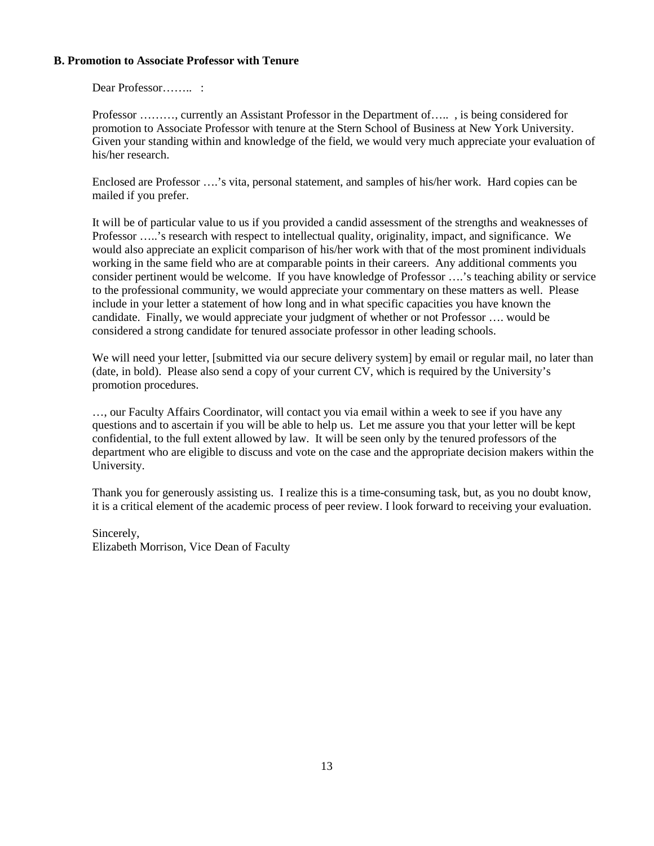## **B. Promotion to Associate Professor with Tenure**

Dear Professor……......

Professor ………, currently an Assistant Professor in the Department of….. , is being considered for promotion to Associate Professor with tenure at the Stern School of Business at New York University. Given your standing within and knowledge of the field, we would very much appreciate your evaluation of his/her research.

Enclosed are Professor ….'s vita, personal statement, and samples of his/her work. Hard copies can be mailed if you prefer.

It will be of particular value to us if you provided a candid assessment of the strengths and weaknesses of Professor …..'s research with respect to intellectual quality, originality, impact, and significance. We would also appreciate an explicit comparison of his/her work with that of the most prominent individuals working in the same field who are at comparable points in their careers. Any additional comments you consider pertinent would be welcome. If you have knowledge of Professor ….'s teaching ability or service to the professional community, we would appreciate your commentary on these matters as well. Please include in your letter a statement of how long and in what specific capacities you have known the candidate. Finally, we would appreciate your judgment of whether or not Professor …. would be considered a strong candidate for tenured associate professor in other leading schools.

We will need your letter, [submitted via our secure delivery system] by email or regular mail, no later than (date, in bold). Please also send a copy of your current CV, which is required by the University's promotion procedures.

…, our Faculty Affairs Coordinator, will contact you via email within a week to see if you have any questions and to ascertain if you will be able to help us. Let me assure you that your letter will be kept confidential, to the full extent allowed by law. It will be seen only by the tenured professors of the department who are eligible to discuss and vote on the case and the appropriate decision makers within the University.

Thank you for generously assisting us. I realize this is a time-consuming task, but, as you no doubt know, it is a critical element of the academic process of peer review. I look forward to receiving your evaluation.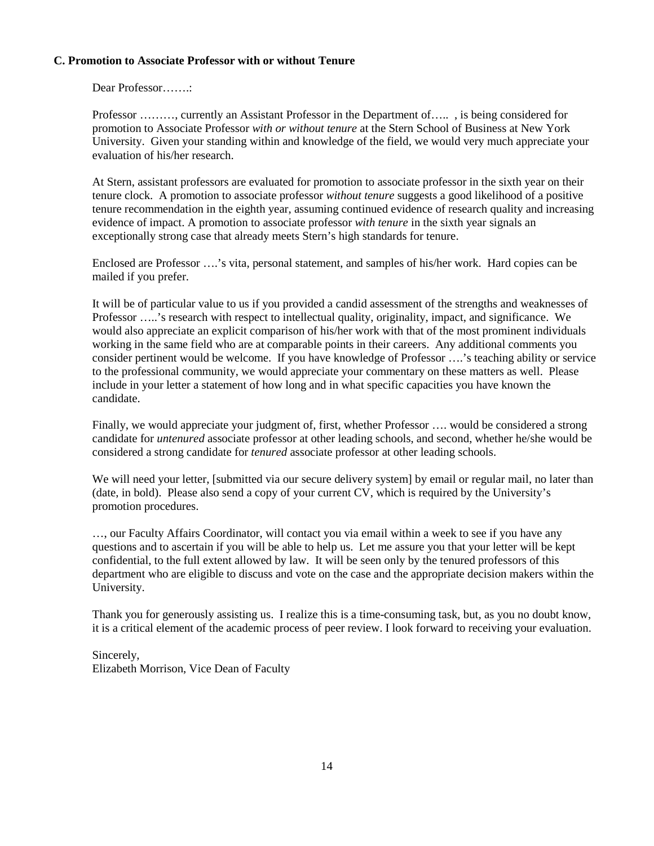## **C. Promotion to Associate Professor with or without Tenure**

Dear Professor…….:

Professor ………, currently an Assistant Professor in the Department of….. , is being considered for promotion to Associate Professor *with or without tenure* at the Stern School of Business at New York University. Given your standing within and knowledge of the field, we would very much appreciate your evaluation of his/her research.

At Stern, assistant professors are evaluated for promotion to associate professor in the sixth year on their tenure clock. A promotion to associate professor *without tenure* suggests a good likelihood of a positive tenure recommendation in the eighth year, assuming continued evidence of research quality and increasing evidence of impact. A promotion to associate professor *with tenure* in the sixth year signals an exceptionally strong case that already meets Stern's high standards for tenure.

Enclosed are Professor ….'s vita, personal statement, and samples of his/her work. Hard copies can be mailed if you prefer.

It will be of particular value to us if you provided a candid assessment of the strengths and weaknesses of Professor …..'s research with respect to intellectual quality, originality, impact, and significance. We would also appreciate an explicit comparison of his/her work with that of the most prominent individuals working in the same field who are at comparable points in their careers. Any additional comments you consider pertinent would be welcome. If you have knowledge of Professor ….'s teaching ability or service to the professional community, we would appreciate your commentary on these matters as well. Please include in your letter a statement of how long and in what specific capacities you have known the candidate.

Finally, we would appreciate your judgment of, first, whether Professor …. would be considered a strong candidate for *untenured* associate professor at other leading schools, and second, whether he/she would be considered a strong candidate for *tenured* associate professor at other leading schools.

We will need your letter, [submitted via our secure delivery system] by email or regular mail, no later than (date, in bold). Please also send a copy of your current CV, which is required by the University's promotion procedures.

…, our Faculty Affairs Coordinator, will contact you via email within a week to see if you have any questions and to ascertain if you will be able to help us. Let me assure you that your letter will be kept confidential, to the full extent allowed by law. It will be seen only by the tenured professors of this department who are eligible to discuss and vote on the case and the appropriate decision makers within the University.

Thank you for generously assisting us. I realize this is a time-consuming task, but, as you no doubt know, it is a critical element of the academic process of peer review. I look forward to receiving your evaluation.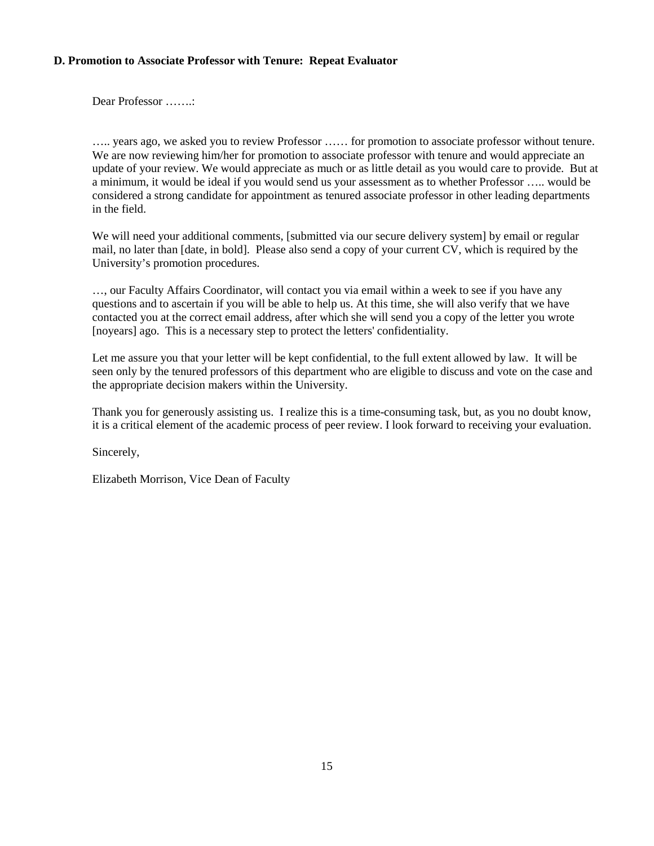## **D. Promotion to Associate Professor with Tenure: Repeat Evaluator**

Dear Professor …….:

….. years ago, we asked you to review Professor …… for promotion to associate professor without tenure. We are now reviewing him/her for promotion to associate professor with tenure and would appreciate an update of your review. We would appreciate as much or as little detail as you would care to provide. But at a minimum, it would be ideal if you would send us your assessment as to whether Professor ….. would be considered a strong candidate for appointment as tenured associate professor in other leading departments in the field.

We will need your additional comments, [submitted via our secure delivery system] by email or regular mail, no later than [date, in bold]. Please also send a copy of your current CV, which is required by the University's promotion procedures.

…, our Faculty Affairs Coordinator, will contact you via email within a week to see if you have any questions and to ascertain if you will be able to help us. At this time, she will also verify that we have contacted you at the correct email address, after which she will send you a copy of the letter you wrote [noyears] ago. This is a necessary step to protect the letters' confidentiality.

Let me assure you that your letter will be kept confidential, to the full extent allowed by law. It will be seen only by the tenured professors of this department who are eligible to discuss and vote on the case and the appropriate decision makers within the University.

Thank you for generously assisting us. I realize this is a time-consuming task, but, as you no doubt know, it is a critical element of the academic process of peer review. I look forward to receiving your evaluation.

Sincerely,

Elizabeth Morrison, Vice Dean of Faculty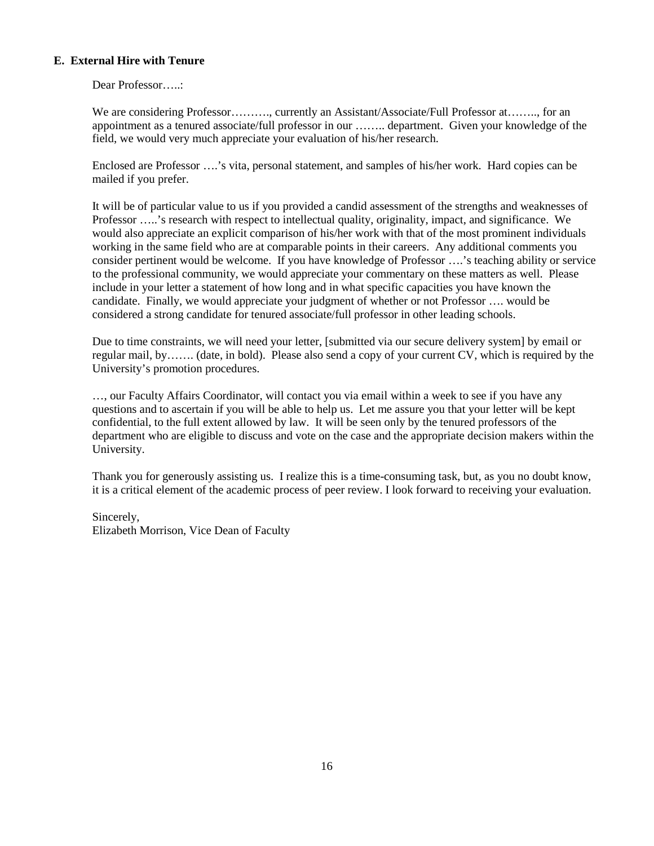# **E. External Hire with Tenure**

Dear Professor…..:

We are considering Professor………., currently an Assistant/Associate/Full Professor at…….., for an appointment as a tenured associate/full professor in our …….. department. Given your knowledge of the field, we would very much appreciate your evaluation of his/her research.

Enclosed are Professor ….'s vita, personal statement, and samples of his/her work. Hard copies can be mailed if you prefer.

It will be of particular value to us if you provided a candid assessment of the strengths and weaknesses of Professor …..'s research with respect to intellectual quality, originality, impact, and significance. We would also appreciate an explicit comparison of his/her work with that of the most prominent individuals working in the same field who are at comparable points in their careers. Any additional comments you consider pertinent would be welcome. If you have knowledge of Professor ….'s teaching ability or service to the professional community, we would appreciate your commentary on these matters as well. Please include in your letter a statement of how long and in what specific capacities you have known the candidate. Finally, we would appreciate your judgment of whether or not Professor …. would be considered a strong candidate for tenured associate/full professor in other leading schools.

Due to time constraints, we will need your letter, [submitted via our secure delivery system] by email or regular mail, by……. (date, in bold). Please also send a copy of your current CV, which is required by the University's promotion procedures.

…, our Faculty Affairs Coordinator, will contact you via email within a week to see if you have any questions and to ascertain if you will be able to help us. Let me assure you that your letter will be kept confidential, to the full extent allowed by law. It will be seen only by the tenured professors of the department who are eligible to discuss and vote on the case and the appropriate decision makers within the University.

Thank you for generously assisting us. I realize this is a time-consuming task, but, as you no doubt know, it is a critical element of the academic process of peer review. I look forward to receiving your evaluation.